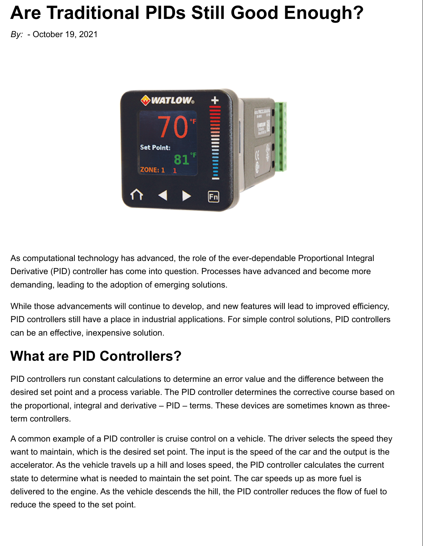# **Are Traditional PIDs Still Good Enough?**

*By:* - October 19, 2021



As computational technology has advanced, the role of the ever-dependable Proportional Integral Derivative (PID) controller has come into question. Processes have advanced and become more demanding, leading to the adoption of emerging solutions.

While those advancements will continue to develop, and new features will lead to improved efficiency, PID controllers still have a place in industrial applications. For simple control solutions, PID controllers can be an effective, inexpensive solution.

#### **What are PID Controllers?**

PID controllers run constant calculations to determine an error value and the difference between the desired set point and a process variable. The PID controller determines the corrective course based on the proportional, integral and derivative – PID – terms. These devices are sometimes known as threeterm controllers.

A common example of a PID controller is cruise control on a vehicle. The driver selects the speed they want to maintain, which is the desired set point. The input is the speed of the car and the output is the accelerator. As the vehicle travels up a hill and loses speed, the PID controller calculates the current state to determine what is needed to maintain the set point. The car speeds up as more fuel is delivered to the engine. As the vehicle descends the hill, the PID controller reduces the flow of fuel to reduce the speed to the set point.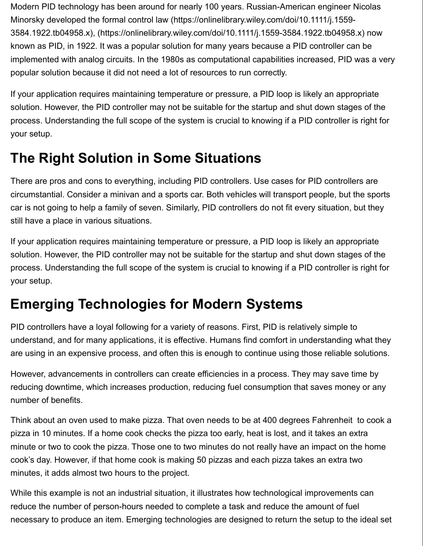Modern PID technology has been around for nearly 100 years. Russian-American engineer Nicolas Minorsky developed the formal control law (https://onlinelibrary.wiley.com/doi/10.1111/j.1559- 3584.1922.tb04958.x), (https://onlinelibrary.wiley.com/doi/10.1111/j.1559-3584.1922.tb04958.x) now known as PID, in 1922. It was a popular solution for many years because a PID controller can be implemented with analog circuits. In the 1980s as computational capabilities increased, PID was a very popular solution because it did not need a lot of resources to run correctly.

If your application requires maintaining temperature or pressure, a PID loop is likely an appropriate solution. However, the PID controller may not be suitable for the startup and shut down stages of the process. Understanding the full scope of the system is crucial to knowing if a PID controller is right for your setup.

### **The Right Solution in Some Situations**

There are pros and cons to everything, including PID controllers. Use cases for PID controllers are circumstantial. Consider a minivan and a sports car. Both vehicles will transport people, but the sports car is not going to help a family of seven. Similarly, PID controllers do not fit every situation, but they still have a place in various situations.

If your application requires maintaining temperature or pressure, a PID loop is likely an appropriate solution. However, the PID controller may not be suitable for the startup and shut down stages of the process. Understanding the full scope of the system is crucial to knowing if a PID controller is right for your setup.

#### **Emerging Technologies for Modern Systems**

PID controllers have a loyal following for a variety of reasons. First, PID is relatively simple to understand, and for many applications, it is effective. Humans find comfort in understanding what they are using in an expensive process, and often this is enough to continue using those reliable solutions.

However, advancements in controllers can create efficiencies in a process. They may save time by reducing downtime, which increases production, reducing fuel consumption that saves money or any number of benefits.

Think about an oven used to make pizza. That oven needs to be at 400 degrees Fahrenheit to cook a pizza in 10 minutes. If a home cook checks the pizza too early, heat is lost, and it takes an extra minute or two to cook the pizza. Those one to two minutes do not really have an impact on the home cook's day. However, if that home cook is making 50 pizzas and each pizza takes an extra two minutes, it adds almost two hours to the project.

While this example is not an industrial situation, it illustrates how technological improvements can reduce the number of person-hours needed to complete a task and reduce the amount of fuel necessary to produce an item. Emerging technologies are designed to return the setup to the ideal set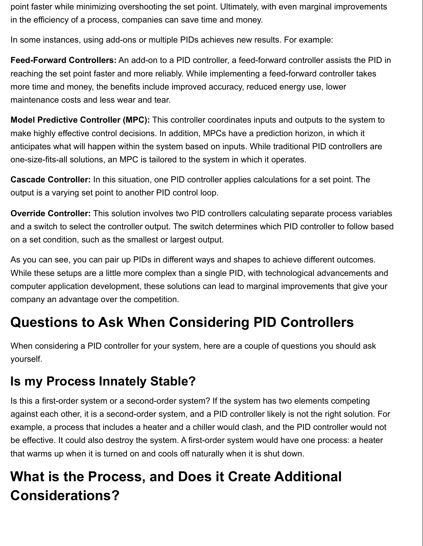point faster while minimizing overshooting the set point. Ultimately, with even marginal improvements in the efficiency of a process, companies can save time and money.

In some instances, using add-ons or multiple PIDs achieves new results. For example:

**Feed-Forward Controllers:** An add-on to a PID controller, a feed-forward controller assists the PID in reaching the set point faster and more reliably. While implementing a feed-forward controller takes more time and money, the benefits include improved accuracy, reduced energy use, lower maintenance costs and less wear and tear.

**Model Predictive Controller (MPC):** This controller coordinates inputs and outputs to the system to make highly effective control decisions. In addition, MPCs have a prediction horizon, in which it anticipates what will happen within the system based on inputs. While traditional PID controllers are one-size-fits-all solutions, an MPC is tailored to the system in which it operates.

**Cascade Controller:** In this situation, one PID controller applies calculations for a set point. The output is a varying set point to another PID control loop.

**Override Controller:** This solution involves two PID controllers calculating separate process variables and a switch to select the controller output. The switch determines which PID controller to follow based on a set condition, such as the smallest or largest output.

As you can see, you can pair up PIDs in different ways and shapes to achieve different outcomes. While these setups are a little more complex than a single PID, with technological advancements and computer application development, these solutions can lead to marginal improvements that give your company an advantage over the competition.

#### **Questions to Ask When Considering PID Controllers**

When considering a PID controller for your system, here are a couple of questions you should ask yourself.

#### **Is my Process Innately Stable?**

Is this a first-order system or a second-order system? If the system has two elements competing against each other, it is a second-order system, and a PID controller likely is not the right solution. For example, a process that includes a heater and a chiller would clash, and the PID controller would not be effective. It could also destroy the system. A first-order system would have one process: a heater that warms up when it is turned on and cools off naturally when it is shut down.

## **What is the Process, and Does it Create Additional Considerations?**